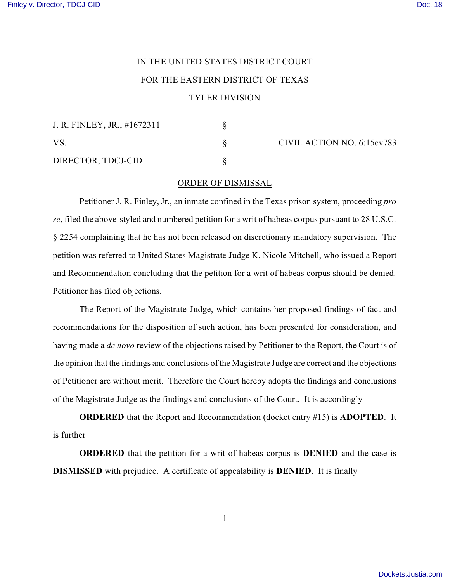## IN THE UNITED STATES DISTRICT COURT FOR THE EASTERN DISTRICT OF TEXAS

## TYLER DIVISION

| J. R. FINLEY, JR., #1672311 |  |
|-----------------------------|--|
| VS.                         |  |
| DIRECTOR, TDCJ-CID          |  |

CIVIL ACTION NO. 6:15cv783

## ORDER OF DISMISSAL

Petitioner J. R. Finley, Jr., an inmate confined in the Texas prison system, proceeding *pro se*, filed the above-styled and numbered petition for a writ of habeas corpus pursuant to 28 U.S.C. § 2254 complaining that he has not been released on discretionary mandatory supervision. The petition was referred to United States Magistrate Judge K. Nicole Mitchell, who issued a Report and Recommendation concluding that the petition for a writ of habeas corpus should be denied. Petitioner has filed objections.

The Report of the Magistrate Judge, which contains her proposed findings of fact and recommendations for the disposition of such action, has been presented for consideration, and having made a *de novo* review of the objections raised by Petitioner to the Report, the Court is of the opinion that the findings and conclusions of the Magistrate Judge are correct and the objections of Petitioner are without merit. Therefore the Court hereby adopts the findings and conclusions of the Magistrate Judge as the findings and conclusions of the Court. It is accordingly

**ORDERED** that the Report and Recommendation (docket entry #15) is **ADOPTED**. It is further

**ORDERED** that the petition for a writ of habeas corpus is **DENIED** and the case is **DISMISSED** with prejudice. A certificate of appealability is **DENIED**. It is finally

1